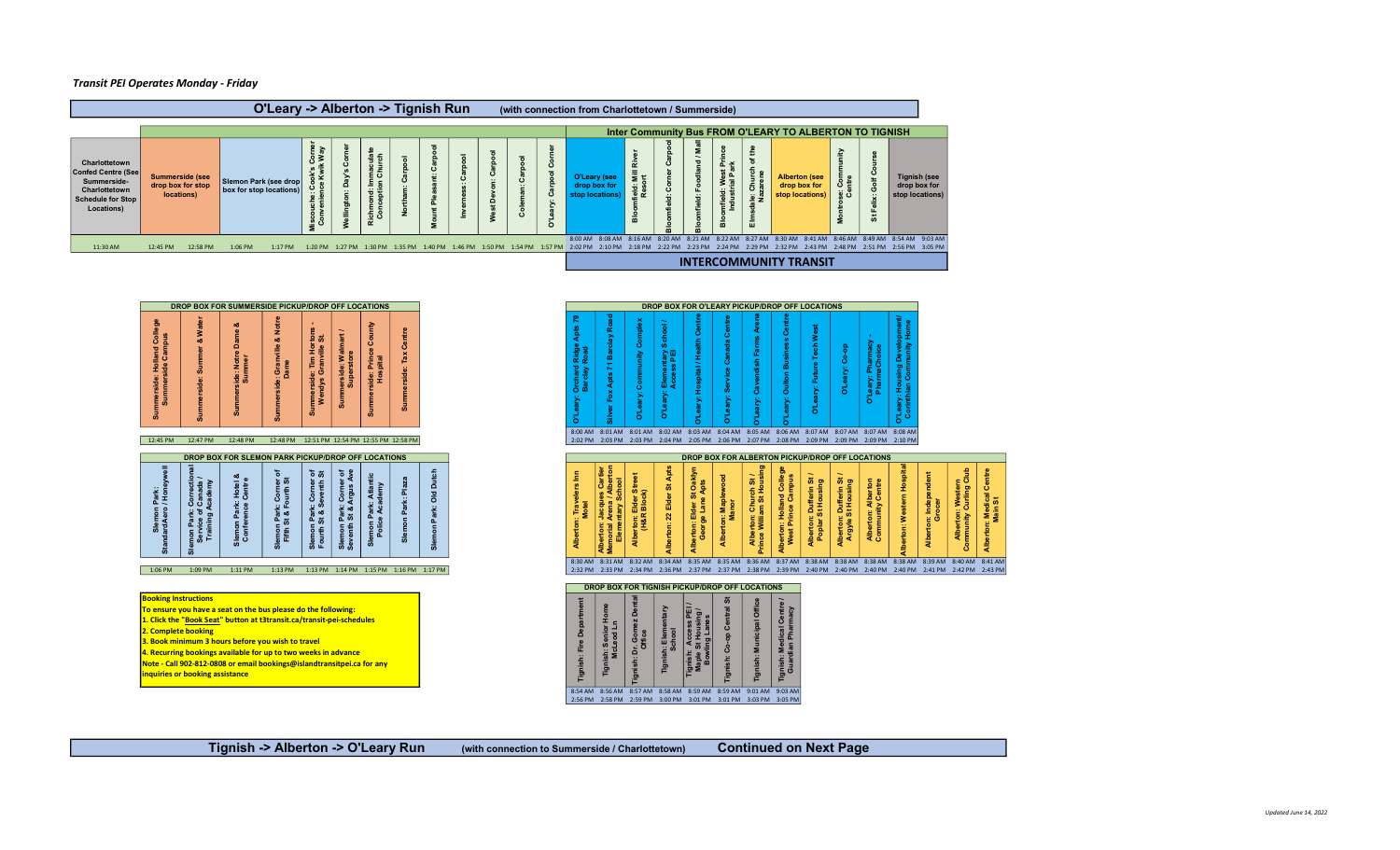## Transit PEI Operates Monday - Friday



| nmerside: Holland College<br>Summerside Campus                | Water<br>a<br>side<br>ā                                                                                                                                                                     | ö<br><b>Notre</b><br>ummer<br>ide:                           | <b>Noti</b><br><b>of</b><br>Granville<br>$\omega$              | tons<br>St.<br>le: Tim Hor<br>Granville<br>ndys<br>흥            | 3<br><b>Imerside: Water</b>                              | Aunto<br>ŏ<br>$\bullet$<br>Prince<br>pital<br>side:<br>Hos | Centre<br>Summerside:     |                                         |  |  |  |  |  |  |  |  |  |  |  |  |  | 공공                                                                                                                                                                                                                                                 |                                                    |                                             | Ĕ<br>촽                                | 동<br>Ō,<br>ã | 요<br>이<br>Elec                |                              | ீ            | ry: Hospital / Health Centr                | Centre<br>ී<br>ိစိ<br>ð                 |  | Aren<br>ő<br>ä                                     |  | Centr<br><b>Oulton Busine</b><br>έ              | ry: Future Tech West<br>D"Lea              | န<br><b>S</b><br>ä<br>$\vec{b}$            | Leary: Pharmacy<br>PharmaChoice<br>$\circ$ |                                        | 言。<br>ary: Housing Developr<br>inthian Community Ho<br><mark>금</mark> 학 |                                                     |  |                                             |  |                                     |  |
|---------------------------------------------------------------|---------------------------------------------------------------------------------------------------------------------------------------------------------------------------------------------|--------------------------------------------------------------|----------------------------------------------------------------|-----------------------------------------------------------------|----------------------------------------------------------|------------------------------------------------------------|---------------------------|-----------------------------------------|--|--|--|--|--|--|--|--|--|--|--|--|--|----------------------------------------------------------------------------------------------------------------------------------------------------------------------------------------------------------------------------------------------------|----------------------------------------------------|---------------------------------------------|---------------------------------------|--------------|-------------------------------|------------------------------|--------------|--------------------------------------------|-----------------------------------------|--|----------------------------------------------------|--|-------------------------------------------------|--------------------------------------------|--------------------------------------------|--------------------------------------------|----------------------------------------|-------------------------------------------------------------------------|-----------------------------------------------------|--|---------------------------------------------|--|-------------------------------------|--|
|                                                               |                                                                                                                                                                                             |                                                              |                                                                |                                                                 |                                                          |                                                            |                           |                                         |  |  |  |  |  |  |  |  |  |  |  |  |  | 8:00 AM 8:01 AM 8:02 AM 8:03 AM 8:04 AM 8:04 AM 8:05 AM 8:06 AM 8:07 AM 8:07 AM 8:07 AM 8:08 AM                                                                                                                                                    |                                                    |                                             |                                       |              |                               |                              |              |                                            |                                         |  |                                                    |  |                                                 |                                            |                                            |                                            |                                        |                                                                         |                                                     |  |                                             |  |                                     |  |
| 12:45 PM                                                      | 12:47 PM                                                                                                                                                                                    | 12:48 PM                                                     | 12:48 PM 12:51 PM 12:54 PM 12:55 PM 12:58 PM                   |                                                                 |                                                          |                                                            |                           |                                         |  |  |  |  |  |  |  |  |  |  |  |  |  | 2:02 PM 2:03 PM 2:03 PM 2:04 PM 2:05 PM 2:06 PM 2:07 PM 2:08 PM 2:09 PM 2:09 PM 2:09 PM 2:10 PM                                                                                                                                                    |                                                    |                                             |                                       |              |                               |                              |              |                                            |                                         |  |                                                    |  |                                                 |                                            |                                            |                                            |                                        |                                                                         |                                                     |  |                                             |  |                                     |  |
|                                                               | DROP BOX FOR SLEMON PARK PICKUP/DROP OFF LOCATIONS                                                                                                                                          |                                                              |                                                                |                                                                 |                                                          |                                                            |                           |                                         |  |  |  |  |  |  |  |  |  |  |  |  |  |                                                                                                                                                                                                                                                    |                                                    |                                             |                                       |              |                               |                              |              |                                            |                                         |  | DROP BOX FOR ALBERTON PICKUP/DROP OFF LOCATIONS    |  |                                                 |                                            |                                            |                                            |                                        |                                                                         |                                                     |  |                                             |  |                                     |  |
| $\overline{9}$<br>Slemon Park:<br>dardAero / Honeyv<br>Standa | <b>ខិចិ</b> ទ្ធិ<br>non<br>Servi<br>Train<br>ឹ                                                                                                                                              | య<br>Hotel<br>Centre<br>Park:<br>ence<br>Slemon F<br>Confere | ৳<br>k: Corner<br>Fourth St<br>Pari<br>St &<br>Slemor<br>Fifth | `ಠ ಹ<br>Corner<br>eventh<br>Park:<br>St & S<br>Slemon<br>Fourth | : Corne<br>Argus<br>Park:<br>St & J<br>Slemon<br>Seventh | Atlantic<br>demy<br>ತ ಔ<br>emon Part<br>Police Ac<br>ळ     | Plaz<br>Park: I<br>Slemon | Dutch<br>명<br>이<br>Park:<br>Slemon      |  |  |  |  |  |  |  |  |  |  |  |  |  |                                                                                                                                                                                                                                                    | Cartier<br>Iberton<br>Jacques<br>Arer<br>Alberton: | <b>School</b><br>norial Arena<br>Elementary | Alberton: Elder Street<br>(H&R Block) |              | Apts<br>Alberton: 22 Elder St |                              |              | erton: Elder St Oaklyn<br>George Lane Apts | Maplewood<br>lanor<br>Alberton: I<br>Ma |  | Alberton: Church St /<br>Prince William St Housing |  | Alberton: Holland College<br>West Prince Campus | Alberton: Dufferin St<br>Poplar St Housing | Alberton: Dufferin St<br>Argyle St Housing |                                            | Alberton: Alberton<br>Community Centre | <b>Uberton: Western Hospital</b>                                        | <sub>on: Independer</sub><br>Grocer<br><b>Allbe</b> |  | Alberton: Western<br>Community Curling Club |  | Alberton: Medical Centre<br>Main St |  |
| 1:06 PM                                                       | 1:09 PM                                                                                                                                                                                     | 1:11 PM                                                      | 1:13 PM                                                        |                                                                 |                                                          |                                                            |                           | 1:13 PM 1:14 PM 1:15 PM 1:16 PM 1:17 PM |  |  |  |  |  |  |  |  |  |  |  |  |  | 8:30 AM 8:31 AM 8:32 AM 8:34 AM 8:35 AM 8:35 AM 8:36 AM 8:37 AM 8:38 AM 8:38 AM 8:38 AM 8:38 AM 8:39 AM 8:40 AM 8:41 AM<br>2:32 PM 2:33 PM 2:34 PM 2:36 PM 2:37 PM 2:37 PM 2:38 PM 2:39 PM 2:40 PM 2:40 PM 2:40 PM 2:40 PM 2:41 PM 2:42 PM 2:43 PM |                                                    |                                             |                                       |              |                               |                              |              |                                            |                                         |  |                                                    |  |                                                 |                                            |                                            |                                            |                                        |                                                                         |                                                     |  |                                             |  |                                     |  |
|                                                               |                                                                                                                                                                                             |                                                              |                                                                |                                                                 |                                                          |                                                            |                           |                                         |  |  |  |  |  |  |  |  |  |  |  |  |  |                                                                                                                                                                                                                                                    |                                                    |                                             |                                       |              |                               |                              |              |                                            |                                         |  |                                                    |  |                                                 |                                            |                                            |                                            |                                        |                                                                         |                                                     |  |                                             |  |                                     |  |
|                                                               |                                                                                                                                                                                             |                                                              |                                                                |                                                                 |                                                          |                                                            |                           |                                         |  |  |  |  |  |  |  |  |  |  |  |  |  |                                                                                                                                                                                                                                                    |                                                    |                                             |                                       |              |                               |                              |              |                                            |                                         |  | DROP BOX FOR TIGNISH PICKUP/DROP OFF LOCATIONS     |  |                                                 |                                            |                                            |                                            |                                        |                                                                         |                                                     |  |                                             |  |                                     |  |
| <b>Booking Instructions</b><br>2. Complete booking            | To ensure you have a seat on the bus please do the following:<br>1. Click the "Book Seat" button at t3transit.ca/transit-pei-schedules<br>3. Book minimum 3 hours before you wish to travel |                                                              |                                                                |                                                                 |                                                          |                                                            |                           |                                         |  |  |  |  |  |  |  |  |  |  |  |  |  | Ă<br>: Fire                                                                                                                                                                                                                                        | 오                                                  | h: Senior<br>AcLeod Ln                      | ۵<br>Dr. Gom<br>Office                |              | sh: Elem<br>School            | $\frac{8}{16}$ $\frac{5}{2}$ | Acce<br>t Ho |                                            | ぁ<br>Centr<br>$Co-op$                   |  | Municipal Offic                                    |  | : Medical Centre <i>l</i><br>dian Pharmacy      |                                            |                                            |                                            |                                        |                                                                         |                                                     |  |                                             |  |                                     |  |

| ō.                                 |                                                                                                                                                                                                                                                                                                                                                                                                                       |                                    | $\omega$                                        | $\omega$                                                   |                                                | $\omega$                                                           |        |                                         |  | $\Omega$ |                                                                                                                                                                                                                                                    |                                            | $\circ$                         |                                                 |                              |                                                  |                                                            |                                            |                                            |                                        | <mark>등</mark> 호 |                          |                                           |                                     |
|------------------------------------|-----------------------------------------------------------------------------------------------------------------------------------------------------------------------------------------------------------------------------------------------------------------------------------------------------------------------------------------------------------------------------------------------------------------------|------------------------------------|-------------------------------------------------|------------------------------------------------------------|------------------------------------------------|--------------------------------------------------------------------|--------|-----------------------------------------|--|----------|----------------------------------------------------------------------------------------------------------------------------------------------------------------------------------------------------------------------------------------------------|--------------------------------------------|---------------------------------|-------------------------------------------------|------------------------------|--------------------------------------------------|------------------------------------------------------------|--------------------------------------------|--------------------------------------------|----------------------------------------|------------------|--------------------------|-------------------------------------------|-------------------------------------|
| 12:45 PM                           | 12:47 PM                                                                                                                                                                                                                                                                                                                                                                                                              | 12:48 PM                           | 12:48 PM 12:51 PM 12:54 PM 12:55 PM 12:58 PM    |                                                            |                                                |                                                                    |        |                                         |  |          | 8:00 AM 8:01 AM 8:01 AM 8:02 AM 8:03 AM 8:04 AM 8:05 AM 8:06 AM 8:07 AM 8:07 AM 8:07 AM 8:08 AM<br>2:02 PM 2:03 PM 2:03 PM 2:04 PM 2:05 PM 2:06 PM 2:07 PM 2:08 PM 2:09 PM 2:09 PM 2:09 PM 2:09 PM                                                 |                                            |                                 |                                                 |                              |                                                  |                                                            |                                            |                                            |                                        |                  |                          |                                           |                                     |
|                                    | DROP BOX FOR SLEMON PARK PICKUP/DROP OFF LOCATIONS                                                                                                                                                                                                                                                                                                                                                                    |                                    |                                                 |                                                            |                                                |                                                                    |        |                                         |  |          |                                                                                                                                                                                                                                                    |                                            |                                 | DROP BOX FOR ALBERTON PICKUP/DROP OFF LOCATIONS |                              |                                                  |                                                            |                                            |                                            |                                        |                  |                          |                                           |                                     |
| Slemon Park:<br>IardAero / Honeywe |                                                                                                                                                                                                                                                                                                                                                                                                                       | Hotel<br>Centr<br>Slemon<br>Confer | k: Corn<br>Fourth<br>Parl<br>St &<br>e<br>Fifth | `ಠ ೫<br>n Park: Corner<br>St & Seventh<br>Slemon<br>Fourth | Park: Corne<br>St & Argus<br>Slemon<br>Seventh | Atlan<br>demy<br>агк:<br>Аса<br>$\mathbf{a}$<br>mon<br>Police<br>ø | ã<br>க | ō<br>$\overline{2}$<br>$\circ$          |  |          |                                                                                                                                                                                                                                                    | $rac{3te}{k}$<br>rton: Elder<br>(H&R Block | Elder<br>$\overline{2}$         | erton: Elder St Oaklyn<br>George Lane Apts      | Alberton: Maplewood<br>Manor | Alberton: Church St /<br>thce William St Housing | <b>Iberton: Holland Colle</b><br>West Prince Campus        | Alberton: Dufferin St<br>Poplar St Housing | Alberton: Dufferin St<br>Argyle St Housing | Alberton: Alberton<br>Community Centre | £<br>Western     | n: Independent<br>Grocer | Alberton: Western<br>mmunity Curling Club | <b>1: Medical Centre</b><br>Main St |
| 1:06 PM                            | 1:09 PM                                                                                                                                                                                                                                                                                                                                                                                                               | 1:11 PM                            | 1:13 PM                                         |                                                            |                                                |                                                                    |        | 1:13 PM 1:14 PM 1:15 PM 1:16 PM 1:17 PM |  |          | 8:30 AM 8:31 AM 8:32 AM 8:34 AM 8:35 AM 8:35 AM 8:36 AM 8:37 AM 8:38 AM 8:38 AM 8:38 AM 8:38 AM 8:39 AM 8:40 AM 8:41 AM<br>2:32 PM 2:33 PM 2:34 PM 2:36 PM 2:37 PM 2:37 PM 2:38 PM 2:39 PM 2:40 PM 2:40 PM 2:40 PM 2:40 PM 2:41 PM 2:42 PM 2:43 PM |                                            |                                 |                                                 |                              |                                                  |                                                            |                                            |                                            |                                        |                  |                          |                                           |                                     |
|                                    |                                                                                                                                                                                                                                                                                                                                                                                                                       |                                    |                                                 |                                                            |                                                |                                                                    |        |                                         |  |          | DROP BOX FOR TIGNISH PICKUP/DROP OFF LOCATIONS                                                                                                                                                                                                     |                                            |                                 |                                                 |                              |                                                  |                                                            |                                            |                                            |                                        |                  |                          |                                           |                                     |
|                                    | ooking Instructions<br><b>Densure you have a seat on the bus please do the following:</b><br>Click the "Book Seat" button at t3transit.ca/transit-pei-schedules<br><b>Complete booking</b><br>Book minimum 3 hours before you wish to travel<br>Recurring bookings available for up to two weeks in advance<br>ote - Call 902-812-0808 or email bookings@islandtransitpei.ca for any<br>quiries or booking assistance |                                    |                                                 |                                                            |                                                |                                                                    |        |                                         |  |          | Ε                                                                                                                                                                                                                                                  | Dr. Gom<br>Office                          | Elem<br>thool<br>ະ ທັ<br>흘<br>F | qangi<br>Map                                    |                              |                                                  | Centry<br>macy<br>Medical<br>ian Phar<br>Tignish:<br>Guard |                                            |                                            |                                        |                  |                          |                                           |                                     |
|                                    |                                                                                                                                                                                                                                                                                                                                                                                                                       |                                    |                                                 |                                                            |                                                |                                                                    |        |                                         |  |          | 8:54 AM 8:56 AM 8:57 AM 8:58 AM 8:59 AM 8:59 AM 9:01 AM 9:03 AM<br>2:56 PM 2:58 PM 2:59 PM 3:00 PM 3:01 PM 3:01 PM 3:03 PM 3:05 PM                                                                                                                 |                                            |                                 |                                                 |                              |                                                  |                                                            |                                            |                                            |                                        |                  |                          |                                           |                                     |

Tignish -> Alberton -> O'Leary Run (with connection to Summerside / Charlottetown) Continued on Next Page